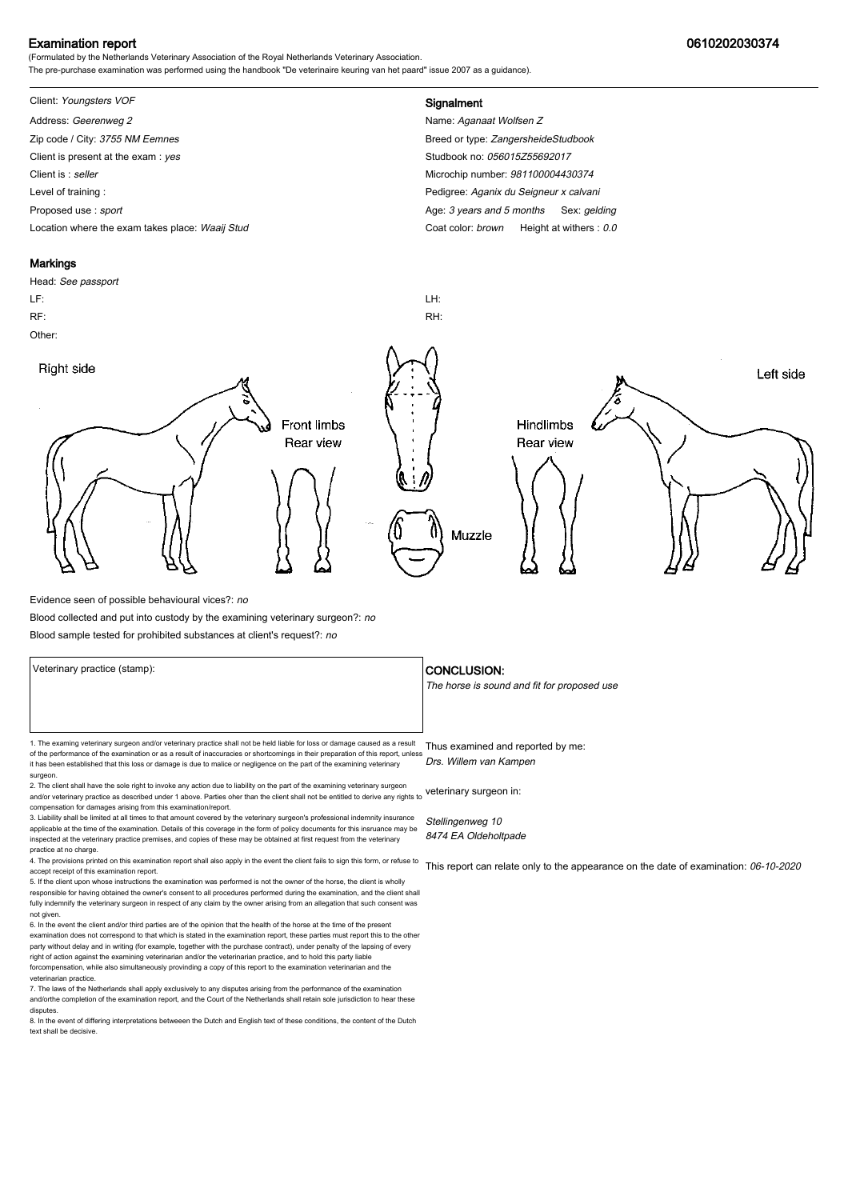### Examination report 0610202030374

(Formulated by the Netherlands Veterinary Association of the Royal Netherlands Veterinary Association. The pre-purchase examination was performed using the handbook "De veterinaire keuring van het paard" issue 2007 as a guidance).

# Client: Youngsters VOF **Signalment**

Address: Geerenweg 2 Name: Aganaat Wolfsen Z Zip code / City: 3755 NM Eemnes Breed or type: ZangersheideStudbook Client is present at the exam : yes Studbook no: 056015Z55692017 Client is : seller Microchip number: 981100004430374 Level of training : Pedigree: Aganix du Seigneur x calvani Proposed use : sport **Age: 3** years and 5 months Sex: gelding Location where the exam takes place: Waaij Stud Coat Color: brown Height at withers : 0.0

#### **Markings**

# Head: See passport LF: LH: RF: RH: Other: Right side Left side **Front limbs** Hindlimbs Rear view Rear view Muzzle

Evidence seen of possible behavioural vices?: no

Blood collected and put into custody by the examining veterinary surgeon?: no

Blood sample tested for prohibited substances at client's request?: no

Veterinary practice (stamp):  $\overline{\phantom{a}}$  CONCLUSION: The horse is sound and fit for proposed use 1. The examing veterinary surgeon and/or veterinary practice shall not be held liable for loss or damage caused as a result Thus examined and reported by me: of the performance of the examination or as a result of inaccuracies or shortcomings in their preparation of this report, unless it has been established that this loss or damage is due to malice or negligence on the part of the examining veterinary surgeon. 2. The client shall have the sole right to invoke any action due to liability on the part of the examining veterinary surgeon and/or veterinary practice as described under 1 above. Parties oher than the client shall not be entitled to derive any rights to veterinary surgeon in: Drs. Willem van Kampen

compensation for damages arising from this examination/report. 3. Liability shall be limited at all times to that amount covered by the veterinary surgeon's professional indemnity insurance

applicable at the time of the examination. Details of this coverage in the form of policy documents for this insruance may be inspected at the veterinary practice premises, and copies of these may be obtained at first request from the veterinary practice at no charge.

4. The provisions printed on this examination report shall also apply in the event the client fails to sign this form, or refuse to accept receipt of this examination report. 5. If the client upon whose instructions the examination was performed is not the owner of the horse, the client is wholly

responsible for having obtained the owner's consent to all procedures performed during the examination, and the client shall fully indemnify the veterinary surgeon in respect of any claim by the owner arising from an allegation that such consent was not given.

6. In the event the client and/or third parties are of the opinion that the health of the horse at the time of the present examination does not correspond to that which is stated in the examination report, these parties must report this to the other party without delay and in writing (for example, together with the purchase contract), under penalty of the lapsing of every<br>right of action against the examining veterinarian and/or the veterinarian practice, and to hold forcompensation, while also simultaneously provinding a copy of this report to the examination veterinarian and th veterinarian practice.

7. The laws of the Netherlands shall apply exclusively to any disputes arising from the performance of the examination and/orthe completion of the examination report, and the Court of the Netherlands shall retain sole jurisdiction to hear these disputes.

8. In the event of differing interpretations betweeen the Dutch and English text of these conditions, the content of the Dutch text shall be decisive.

Stellingenweg 10 8474 EA Oldeholtpade

This report can relate only to the appearance on the date of examination: 06-10-2020